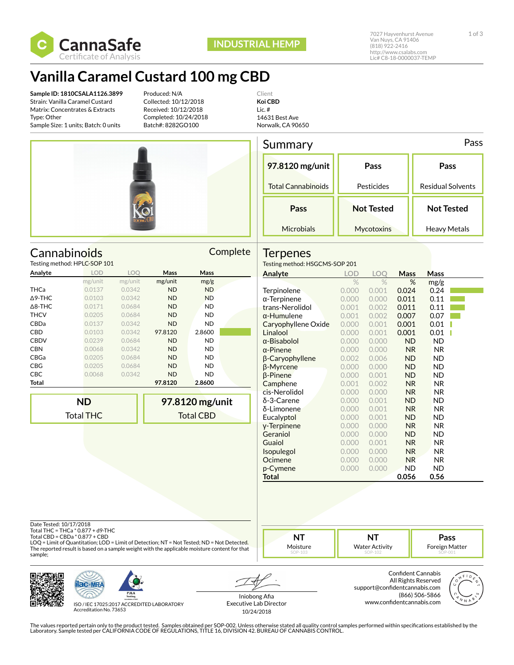

## **Vanilla Caramel Custard 100 mg CBD**

**Sample ID: 1810CSALA1126.3899** Strain: Vanilla Caramel Custard Matrix: Concentrates & Extracts Type: Other Sample Size: 1 units; Batch: 0 units

Testing method: HPLC-SOP 101 **Analyte LOD** 

Produced: N/A Collected: 10/12/2018 Received: 10/12/2018 Completed: 10/24/2018 Batch#: 8282GO100

Client **Koi CBD** Lic. # 14631 Best Ave Norwalk, CA 90650



Cannabinoids Complete

Summary Pass **97.8120 mg/unit** Total Cannabinoids **Pass** Pesticides **Pass** Residual Solvents **Pass Microbials Not Tested Mycotoxins Not Tested** Heavy Metals

### **Terpenes**

Testing method: HSGCMS-SOP 201

| Analyte        | <b>LOD</b>       | <b>LOO</b> | Mass      | Mass             | Analyte                | <b>LOD</b>    | <b>LOO</b> | <b>Mass</b> | Mass       |
|----------------|------------------|------------|-----------|------------------|------------------------|---------------|------------|-------------|------------|
|                | mg/unit          | mg/unit    | mg/unit   | mg/g             |                        | $\frac{1}{2}$ | $\%$       | %           | mg/g       |
| THCa           | 0.0137           | 0.0342     | <b>ND</b> | <b>ND</b>        | <b>Terpinolene</b>     | 0.000         | 0.001      | 0.024       | 0.24       |
| ∆9-THC         | 0.0103           | 0.0342     | <b>ND</b> | <b>ND</b>        | $\alpha$ -Terpinene    | 0.000         | 0.000      | 0.011       | 0.11       |
| $\Delta$ 8-THC | 0.0171           | 0.0684     | <b>ND</b> | ND.              | trans-Nerolidol        | 0.001         | 0.002      | 0.011       | 0.11       |
| THCV           | 0.0205           | 0.0684     | <b>ND</b> | <b>ND</b>        | $\alpha$ -Humulene     | 0.001         | 0.002      | 0.007       | 0.07       |
| CBDa           | 0.0137           | 0.0342     | <b>ND</b> | <b>ND</b>        | Caryophyllene Oxide    | 0.000         | 0.001      | 0.001       | 0.01       |
| CBD            | 0.0103           | 0.0342     | 97.8120   | 2.8600           | Linalool               | 0.000         | 0.001      | 0.001       | 0.01       |
| <b>CBDV</b>    | 0.0239           | 0.0684     | ND.       | <b>ND</b>        | $\alpha$ -Bisabolol    | 0.000         | 0.000      | <b>ND</b>   | <b>ND</b>  |
| CBN            | 0.0068           | 0.0342     | <b>ND</b> | <b>ND</b>        | $\alpha$ -Pinene       | 0.000         | 0.000      | <b>NR</b>   | <b>NR</b>  |
| CBGa           | 0.0205           | 0.0684     | <b>ND</b> | <b>ND</b>        | $\beta$ -Caryophyllene | 0.002         | 0.006      | <b>ND</b>   | <b>ND</b>  |
| CBG            | 0.0205           | 0.0684     | <b>ND</b> | ND.              | <b>B-Myrcene</b>       | 0.000         | 0.000      | <b>ND</b>   | <b>ND</b>  |
| СВС            | 0.0068           | 0.0342     | <b>ND</b> | <b>ND</b>        | $\beta$ -Pinene        | 0.000         | 0.001      | <b>ND</b>   | <b>ND</b>  |
| Total          |                  |            | 97.8120   | 2.8600           | Camphene               | 0.001         | 0.002      | <b>NR</b>   | <b>NR</b>  |
|                |                  |            |           |                  | cis-Nerolidol          | 0.000         | 0.000      | <b>NR</b>   | <b>NR</b>  |
|                | <b>ND</b>        |            |           | 97.8120 mg/unit  | $\delta$ -3-Carene     | 0.000         | 0.001      | <b>ND</b>   | <b>ND</b>  |
|                |                  |            |           |                  | δ-Limonene             | 0.000         | 0.001      | <b>NR</b>   | <b>NR</b>  |
|                | <b>Total THC</b> |            |           | <b>Total CBD</b> | Eucalyptol             | 0.000         | 0.001      | <b>ND</b>   | <b>ND</b>  |
|                |                  |            |           |                  | y-Terpinene            | 0.000         | 0.000      | <b>NR</b>   | <b>NR</b>  |
|                |                  |            |           |                  | Geraniol               | 0.000         | 0.000      | <b>ND</b>   | <b>ND</b>  |
|                |                  |            |           |                  | $C_{total}$            | 0.000         | 0.001      | <b>NID</b>  | <b>NID</b> |

| trans-Nerolidol     | 0.001 | 0.002 | 0.011          | 0.11      |  |
|---------------------|-------|-------|----------------|-----------|--|
| $\alpha$ -Humulene  | 0.001 | 0.002 | 0.007          | 0.07      |  |
| Caryophyllene Oxide | 0.000 | 0.001 | 0.001          | 0.01      |  |
| Linalool            | 0.000 | 0.001 | 0.001          | 0.01      |  |
| $\alpha$ -Bisabolol | 0.000 | 0.000 | ND.            | ND        |  |
| $\alpha$ -Pinene    | 0.000 | 0.000 | <b>NR</b>      | NR.       |  |
| β-Caryophyllene     | 0.002 | 0.006 | ND.            | ND        |  |
| β-Myrcene           | 0.000 | 0.000 | ND.            | ND        |  |
| <b>B-Pinene</b>     | 0.000 | 0.001 | <b>ND</b>      | ND        |  |
| Camphene            | 0.001 | 0.002 | <b>NR</b>      | NR.       |  |
| cis-Nerolidol       | 0.000 | 0.000 | <b>NR</b>      | NR.       |  |
| δ-3-Carene          | 0.000 | 0.001 | ND.            | ND        |  |
| δ-Limonene          | 0.000 | 0.001 | N <sub>R</sub> | <b>NR</b> |  |
| Eucalyptol          | 0.000 | 0.001 | ND.            | ND        |  |
| y-Terpinene         | 0.000 | 0.000 | <b>NR</b>      | NR.       |  |
| Geraniol            | 0.000 | 0.000 | ND.            | ND        |  |
| Guaiol              | 0.000 | 0.001 | N <sub>R</sub> | NR.       |  |
| Isopulegol          | 0.000 | 0.000 | <b>NR</b>      | NR.       |  |
| Ocimene             | 0.000 | 0.000 | <b>NR</b>      | NR.       |  |
| p-Cymene            | 0.000 | 0.000 | ND             | ND        |  |
| Total               |       |       | 0.056          | 0.56      |  |

Date Tested: 10/17/2018

Total THC = THCa \* 0.877 + d9-THC Total CBD = CBDa \* 0.877 + CBD

LOQ = Limit of Quantitation; LOD = Limit of Detection; NT = Not Tested; ND = Not Detected. The reported result is based on a sample weight with the applicable moisture content for that sample;





ISO / IEC 17025:2017 ACCREDITED LABORATORY Accreditation No. 73653

Iniobong Afia Executive Lab Director 10/24/2018

**NT** Moisture

> Confident Cannabis All Rights Reserved support@confidentcannabis.com (866) 506-5866 www.confidentcannabis.com

**NT** Water Activity



**Pass** Foreign Matter

The values reported pertain only to the product tested. Samples obtained per SOP-002. Unless otherwise stated all quality control samples performed within specifications established by the<br>Laboratory. Sample tested per CAL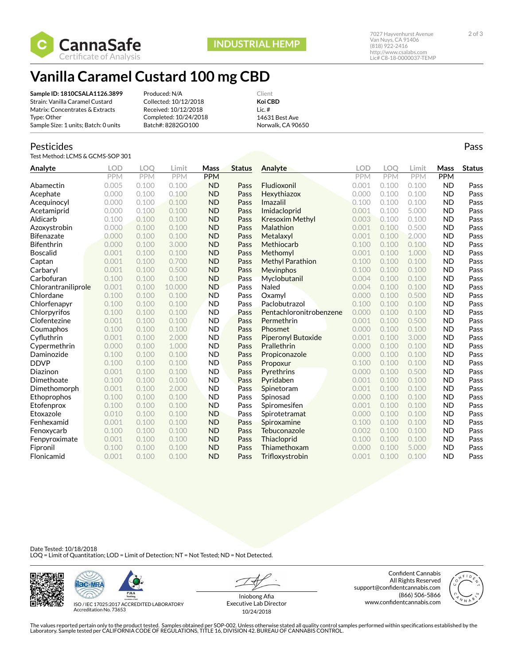

# **Vanilla Caramel Custard 100 mg CBD**

**Sample ID: 1810CSALA1126.3899** Strain: Vanilla Caramel Custard Matrix: Concentrates & Extracts Type: Other Sample Size: 1 units; Batch: 0 units

Produced: N/A Collected: 10/12/2018 Received: 10/12/2018 Completed: 10/24/2018 Batch#: 8282GO100

Client **Koi CBD** Lic. # 14631 Best Ave Norwalk, CA 90650

### Pesticides

Test Method: LCMS & GCMS-SOP 301

| Analyte             | <b>LOD</b> | LOO        | Limit      | Mass       | <b>Status</b> | Analyte                 | LOD        | LOO        | Limit      | Mass      | <b>Status</b> |
|---------------------|------------|------------|------------|------------|---------------|-------------------------|------------|------------|------------|-----------|---------------|
|                     | PPM        | <b>PPM</b> | <b>PPM</b> | <b>PPM</b> |               |                         | <b>PPM</b> | <b>PPM</b> | <b>PPM</b> | PPM       |               |
| Abamectin           | 0.005      | 0.100      | 0.100      | <b>ND</b>  | Pass          | Fludioxonil             | 0.001      | 0.100      | 0.100      | <b>ND</b> | Pass          |
| Acephate            | 0.000      | 0.100      | 0.100      | <b>ND</b>  | Pass          | Hexythiazox             | 0.000      | 0.100      | 0.100      | <b>ND</b> | Pass          |
| Acequinocyl         | 0.000      | 0.100      | 0.100      | <b>ND</b>  | Pass          | Imazalil                | 0.100      | 0.100      | 0.100      | <b>ND</b> | Pass          |
| Acetamiprid         | 0.000      | 0.100      | 0.100      | <b>ND</b>  | Pass          | Imidacloprid            | 0.001      | 0.100      | 5.000      | <b>ND</b> | Pass          |
| Aldicarb            | 0.100      | 0.100      | 0.100      | <b>ND</b>  | Pass          | Kresoxim Methyl         | 0.003      | 0.100      | 0.100      | <b>ND</b> | Pass          |
| Azoxystrobin        | 0.000      | 0.100      | 0.100      | <b>ND</b>  | Pass          | Malathion               | 0.001      | 0.100      | 0.500      | <b>ND</b> | Pass          |
| <b>Bifenazate</b>   | 0.000      | 0.100      | 0.100      | <b>ND</b>  | Pass          | Metalaxyl               | 0.001      | 0.100      | 2.000      | <b>ND</b> | Pass          |
| <b>Bifenthrin</b>   | 0.000      | 0.100      | 3.000      | <b>ND</b>  | Pass          | Methiocarb              | 0.100      | 0.100      | 0.100      | <b>ND</b> | Pass          |
| <b>Boscalid</b>     | 0.001      | 0.100      | 0.100      | <b>ND</b>  | Pass          | Methomyl                | 0.001      | 0.100      | 1.000      | <b>ND</b> | Pass          |
| Captan              | 0.001      | 0.100      | 0.700      | <b>ND</b>  | Pass          | <b>Methyl Parathion</b> | 0.100      | 0.100      | 0.100      | <b>ND</b> | Pass          |
| Carbaryl            | 0.001      | 0.100      | 0.500      | <b>ND</b>  | Pass          | Mevinphos               | 0.100      | 0.100      | 0.100      | <b>ND</b> | Pass          |
| Carbofuran          | 0.100      | 0.100      | 0.100      | <b>ND</b>  | Pass          | Myclobutanil            | 0.004      | 0.100      | 0.100      | <b>ND</b> | Pass          |
| Chlorantraniliprole | 0.001      | 0.100      | 10.000     | <b>ND</b>  | Pass          | Naled                   | 0.004      | 0.100      | 0.100      | <b>ND</b> | Pass          |
| Chlordane           | 0.100      | 0.100      | 0.100      | <b>ND</b>  | Pass          | Oxamyl                  | 0.000      | 0.100      | 0.500      | <b>ND</b> | Pass          |
| Chlorfenapyr        | 0.100      | 0.100      | 0.100      | <b>ND</b>  | Pass          | Paclobutrazol           | 0.100      | 0.100      | 0.100      | <b>ND</b> | Pass          |
| Chlorpyrifos        | 0.100      | 0.100      | 0.100      | <b>ND</b>  | Pass          | Pentachloronitrobenzene | 0.000      | 0.100      | 0.100      | <b>ND</b> | Pass          |
| Clofentezine        | 0.001      | 0.100      | 0.100      | <b>ND</b>  | Pass          | Permethrin              | 0.001      | 0.100      | 0.500      | <b>ND</b> | Pass          |
| Coumaphos           | 0.100      | 0.100      | 0.100      | <b>ND</b>  | Pass          | Phosmet                 | 0.000      | 0.100      | 0.100      | <b>ND</b> | Pass          |
| Cyfluthrin          | 0.001      | 0.100      | 2.000      | <b>ND</b>  | Pass          | Piperonyl Butoxide      | 0.001      | 0.100      | 3.000      | <b>ND</b> | Pass          |
| Cypermethrin        | 0.000      | 0.100      | 1.000      | <b>ND</b>  | Pass          | Prallethrin             | 0.000      | 0.100      | 0.100      | <b>ND</b> | Pass          |
| Daminozide          | 0.100      | 0.100      | 0.100      | <b>ND</b>  | Pass          | Propiconazole           | 0.000      | 0.100      | 0.100      | <b>ND</b> | Pass          |
| <b>DDVP</b>         | 0.100      | 0.100      | 0.100      | <b>ND</b>  | Pass          | Propoxur                | 0.100      | 0.100      | 0.100      | <b>ND</b> | Pass          |
| Diazinon            | 0.001      | 0.100      | 0.100      | <b>ND</b>  | Pass          | Pyrethrins              | 0.000      | 0.100      | 0.500      | <b>ND</b> | Pass          |
| Dimethoate          | 0.100      | 0.100      | 0.100      | <b>ND</b>  | Pass          | Pyridaben               | 0.001      | 0.100      | 0.100      | <b>ND</b> | Pass          |
| Dimethomorph        | 0.001      | 0.100      | 2.000      | <b>ND</b>  | Pass          | Spinetoram              | 0.001      | 0.100      | 0.100      | <b>ND</b> | Pass          |
| Ethoprophos         | 0.100      | 0.100      | 0.100      | <b>ND</b>  | Pass          | Spinosad                | 0.000      | 0.100      | 0.100      | <b>ND</b> | Pass          |
| Etofenprox          | 0.100      | 0.100      | 0.100      | <b>ND</b>  | Pass          | Spiromesifen            | 0.001      | 0.100      | 0.100      | <b>ND</b> | Pass          |
| Etoxazole           | 0.010      | 0.100      | 0.100      | <b>ND</b>  | Pass          | Spirotetramat           | 0.000      | 0.100      | 0.100      | <b>ND</b> | Pass          |
| Fenhexamid          | 0.001      | 0.100      | 0.100      | <b>ND</b>  | Pass          | Spiroxamine             | 0.100      | 0.100      | 0.100      | <b>ND</b> | Pass          |
| Fenoxycarb          | 0.100      | 0.100      | 0.100      | <b>ND</b>  | Pass          | Tebuconazole            | 0.002      | 0.100      | 0.100      | <b>ND</b> | Pass          |
| Fenpyroximate       | 0.001      | 0.100      | 0.100      | <b>ND</b>  | Pass          | Thiacloprid             | 0.100      | 0.100      | 0.100      | <b>ND</b> | Pass          |
| Fipronil            | 0.100      | 0.100      | 0.100      | <b>ND</b>  | Pass          | Thiamethoxam            | 0.000      | 0.100      | 5.000      | <b>ND</b> | Pass          |
| Flonicamid          | 0.001      | 0.100      | 0.100      | <b>ND</b>  | Pass          | Trifloxystrobin         | 0.001      | 0.100      | 0.100      | <b>ND</b> | Pass          |

#### Date Tested: 10/18/2018 LOQ = Limit of Quantitation; LOD = Limit of Detection; NT = Not Tested; ND = Not Detected.





ISO / IEC 17025:2017 ACCREDITED LABORATORY Accreditation No. 73653

Iniobong Afia Executive Lab Director 10/24/2018

Confident Cannabis All Rights Reserved support@confidentcannabis.com (866) 506-5866 www.confidentcannabis.com



http://www.csalabs.com Lic# C8-18-0000037-TEMP

The values reported pertain only to the product tested. Samples obtained per SOP-002. Unless otherwise stated all quality control samples performed within specifications established by the<br>Laboratory. Sample tested per CAL

Pass